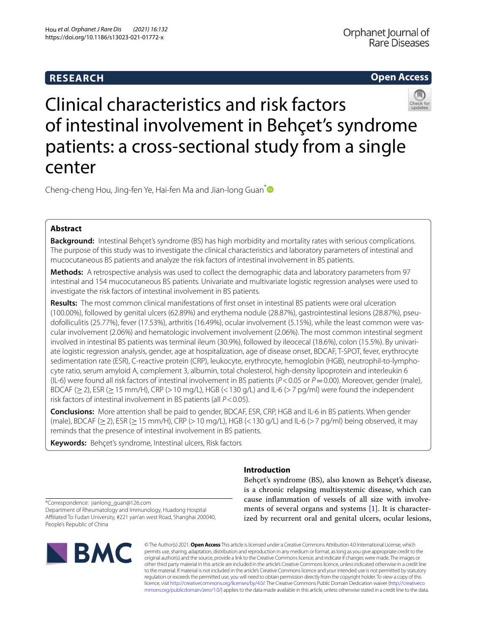# **RESEARCH**

## **Open Access**



Clinical characteristics and risk factors of intestinal involvement in Behçet's syndrome patients: a cross-sectional study from a single center

Cheng-cheng Hou, Jing-fen Ye, Hai-fen Ma and Jian-long Guan<sup>[\\*](http://orcid.org/0000-0002-6481-480X)</sup>

## **Abstract**

**Background:** Intestinal Behçet's syndrome (BS) has high morbidity and mortality rates with serious complications. The purpose of this study was to investigate the clinical characteristics and laboratory parameters of intestinal and mucocutaneous BS patients and analyze the risk factors of intestinal involvement in BS patients.

**Methods:** A retrospective analysis was used to collect the demographic data and laboratory parameters from 97 intestinal and 154 mucocutaneous BS patients. Univariate and multivariate logistic regression analyses were used to investigate the risk factors of intestinal involvement in BS patients.

**Results:** The most common clinical manifestations of frst onset in intestinal BS patients were oral ulceration (100.00%), followed by genital ulcers (62.89%) and erythema nodule (28.87%), gastrointestinal lesions (28.87%), pseu‑ dofolliculitis (25.77%), fever (17.53%), arthritis (16.49%), ocular involvement (5.15%), while the least common were vascular involvement (2.06%) and hematologic involvement involvement (2.06%). The most common intestinal segment involved in intestinal BS patients was terminal ileum (30.9%), followed by ileocecal (18.6%), colon (15.5%). By univariate logistic regression analysis, gender, age at hospitalization, age of disease onset, BDCAF, T-SPOT, fever, erythrocyte sedimentation rate (ESR), C-reactive protein (CRP), leukocyte, erythrocyte, hemoglobin (HGB), neutrophil-to-lymphocyte ratio, serum amyloid A, complement 3, albumin, total cholesterol, high-density lipoprotein and interleukin 6 (IL-6) were found all risk factors of intestinal involvement in BS patients (*P*<0.05 or *P*=0.00). Moreover, gender (male), BDCAF ( $\geq$ 2), ESR ( $\geq$  15 mm/H), CRP ( $>$  10 mg/L), HGB (< 130 g/L) and IL-6 ( $>$  7 pg/ml) were found the independent risk factors of intestinal involvement in BS patients (all *P*<0.05).

**Conclusions:** More attention shall be paid to gender, BDCAF, ESR, CRP, HGB and IL-6 in BS patients. When gender (male), BDCAF ( $\geq$  2), ESR ( $\geq$  15 mm/H), CRP (> 10 mg/L), HGB (< 130 g/L) and IL-6 (> 7 pg/ml) being observed, it may reminds that the presence of intestinal involvement in BS patients.

**Keywords:** Behçet's syndrome, Intestinal ulcers, Risk factors

## **Introduction**

Behçet's syndrome (BS), also known as Behçet's disease, is a chronic relapsing multisystemic disease, which can cause infammation of vessels of all size with involvements of several organs and systems [[1\]](#page-8-0). It is characterized by recurrent oral and genital ulcers, ocular lesions,

\*Correspondence: jianlong\_guan@126.com Department of Rheumatology and Immunology, Huadong Hospital Afliated To Fudan University, #221 yan'an west Road, Shanghai 200040, People's Republic of China



© The Author(s) 2021. **Open Access** This article is licensed under a Creative Commons Attribution 4.0 International License, which permits use, sharing, adaptation, distribution and reproduction in any medium or format, as long as you give appropriate credit to the original author(s) and the source, provide a link to the Creative Commons licence, and indicate if changes were made. The images or other third party material in this article are included in the article's Creative Commons licence, unless indicated otherwise in a credit line to the material. If material is not included in the article's Creative Commons licence and your intended use is not permitted by statutory regulation or exceeds the permitted use, you will need to obtain permission directly from the copyright holder. To view a copy of this licence, visit [http://creativecommons.org/licenses/by/4.0/.](http://creativecommons.org/licenses/by/4.0/) The Creative Commons Public Domain Dedication waiver ([http://creativeco](http://creativecommons.org/publicdomain/zero/1.0/) [mmons.org/publicdomain/zero/1.0/](http://creativecommons.org/publicdomain/zero/1.0/)) applies to the data made available in this article, unless otherwise stated in a credit line to the data.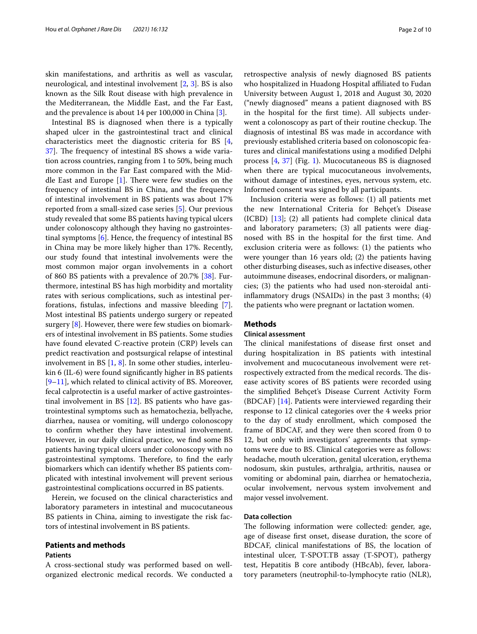skin manifestations, and arthritis as well as vascular, neurological, and intestinal involvement [\[2,](#page-8-1) [3\]](#page-8-2). BS is also known as the Silk Rout disease with high prevalence in the Mediterranean, the Middle East, and the Far East, and the prevalence is about 14 per 100,000 in China [\[3\]](#page-8-2).

Intestinal BS is diagnosed when there is a typically shaped ulcer in the gastrointestinal tract and clinical characteristics meet the diagnostic criteria for BS [\[4](#page-8-3), [37\]](#page-9-0). The frequency of intestinal BS shows a wide variation across countries, ranging from 1 to 50%, being much more common in the Far East compared with the Middle East and Europe  $[1]$  $[1]$ . There were few studies on the frequency of intestinal BS in China, and the frequency of intestinal involvement in BS patients was about 17% reported from a small-sized case series [[5\]](#page-8-4). Our previous study revealed that some BS patients having typical ulcers under colonoscopy although they having no gastrointestinal symptoms [[6\]](#page-8-5). Hence, the frequency of intestinal BS in China may be more likely higher than 17%. Recently, our study found that intestinal involvements were the most common major organ involvements in a cohort of 860 BS patients with a prevalence of 20.7% [[38\]](#page-9-1). Furthermore, intestinal BS has high morbidity and mortality rates with serious complications, such as intestinal perforations, fstulas, infections and massive bleeding [\[7](#page-8-6)]. Most intestinal BS patients undergo surgery or repeated surgery [[8\]](#page-8-7). However, there were few studies on biomarkers of intestinal involvement in BS patients. Some studies have found elevated C-reactive protein (CRP) levels can predict reactivation and postsurgical relapse of intestinal involvement in BS  $[1, 8]$  $[1, 8]$  $[1, 8]$  $[1, 8]$ . In some other studies, interleukin 6 (IL-6) were found signifcantly higher in BS patients [[9–](#page-8-8)[11\]](#page-8-9), which related to clinical activity of BS. Moreover, fecal calprotectin is a useful marker of active gastrointestinal involvement in BS [[12](#page-8-10)]. BS patients who have gastrointestinal symptoms such as hematochezia, bellyache, diarrhea, nausea or vomiting, will undergo colonoscopy to confrm whether they have intestinal involvement. However, in our daily clinical practice, we fnd some BS patients having typical ulcers under colonoscopy with no gastrointestinal symptoms. Therefore, to find the early biomarkers which can identify whether BS patients complicated with intestinal involvement will prevent serious gastrointestinal complications occurred in BS patients.

Herein, we focused on the clinical characteristics and laboratory parameters in intestinal and mucocutaneous BS patients in China, aiming to investigate the risk factors of intestinal involvement in BS patients.

### **Patients and methods**

#### **Patients**

A cross-sectional study was performed based on wellorganized electronic medical records. We conducted a retrospective analysis of newly diagnosed BS patients who hospitalized in Huadong Hospital affiliated to Fudan University between August 1, 2018 and August 30, 2020 ("newly diagnosed" means a patient diagnosed with BS in the hospital for the frst time). All subjects underwent a colonoscopy as part of their routine checkup. The diagnosis of intestinal BS was made in accordance with previously established criteria based on colonoscopic features and clinical manifestations using a modifed Delphi process [[4,](#page-8-3) [37](#page-9-0)] (Fig. [1\)](#page-2-0). Mucocutaneous BS is diagnosed when there are typical mucocutaneous involvements, without damage of intestines, eyes, nervous system, etc. Informed consent was signed by all participants.

Inclusion criteria were as follows: (1) all patients met the new International Criteria for Behçet's Disease (ICBD) [[13\]](#page-8-11); (2) all patients had complete clinical data and laboratory parameters; (3) all patients were diagnosed with BS in the hospital for the frst time. And exclusion criteria were as follows: (1) the patients who were younger than 16 years old; (2) the patients having other disturbing diseases, such as infective diseases, other autoimmune diseases, endocrinal disorders, or malignancies; (3) the patients who had used non-steroidal antiinfammatory drugs (NSAIDs) in the past 3 months; (4) the patients who were pregnant or lactation women.

## **Methods**

### **Clinical assessment**

The clinical manifestations of disease first onset and during hospitalization in BS patients with intestinal involvement and mucocutaneous involvement were retrospectively extracted from the medical records. The disease activity scores of BS patients were recorded using the simplifed Behçet's Disease Current Activity Form (BDCAF) [[14\]](#page-8-12). Patients were interviewed regarding their response to 12 clinical categories over the 4 weeks prior to the day of study enrollment, which composed the frame of BDCAF, and they were then scored from 0 to 12, but only with investigators' agreements that symptoms were due to BS. Clinical categories were as follows: headache, mouth ulceration, genital ulceration, erythema nodosum, skin pustules, arthralgia, arthritis, nausea or vomiting or abdominal pain, diarrhea or hematochezia, ocular involvement, nervous system involvement and major vessel involvement.

### **Data collection**

The following information were collected: gender, age, age of disease frst onset, disease duration, the score of BDCAF, clinical manifestations of BS, the location of intestinal ulcer, T-SPOT.TB assay (T-SPOT), pathergy test, Hepatitis B core antibody (HBcAb), fever, laboratory parameters (neutrophil-to-lymphocyte ratio (NLR),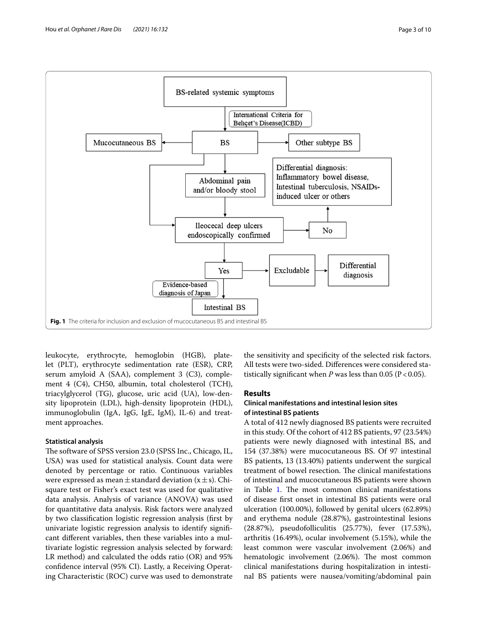

<span id="page-2-0"></span>leukocyte, erythrocyte, hemoglobin (HGB), platelet (PLT), erythrocyte sedimentation rate (ESR), CRP, serum amyloid A (SAA), complement 3 (C3), complement 4 (C4), CH50, albumin, total cholesterol (TCH), triacylglycerol (TG), glucose, uric acid (UA), low-density lipoprotein (LDL), high-density lipoprotein (HDL), immunoglobulin (IgA, IgG, IgE, IgM), IL-6) and treatment approaches.

### **Statistical analysis**

The software of SPSS version 23.0 (SPSS Inc., Chicago, IL, USA) was used for statistical analysis. Count data were denoted by percentage or ratio. Continuous variables were expressed as mean  $\pm$  standard deviation (x  $\pm$  s). Chisquare test or Fisher's exact test was used for qualitative data analysis. Analysis of variance (ANOVA) was used for quantitative data analysis. Risk factors were analyzed by two classifcation logistic regression analysis (frst by univariate logistic regression analysis to identify signifcant diferent variables, then these variables into a multivariate logistic regression analysis selected by forward: LR method) and calculated the odds ratio (OR) and 95% confdence interval (95% CI). Lastly, a Receiving Operating Characteristic (ROC) curve was used to demonstrate the sensitivity and specifcity of the selected risk factors. All tests were two-sided. Diferences were considered statistically significant when  $P$  was less than 0.05 ( $P < 0.05$ ).

### **Results**

### **Clinical manifestations and intestinal lesion sites of intestinal BS patients**

A total of 412 newly diagnosed BS patients were recruited in this study. Of the cohort of 412 BS patients, 97 (23.54%) patients were newly diagnosed with intestinal BS, and 154 (37.38%) were mucocutaneous BS. Of 97 intestinal BS patients, 13 (13.40%) patients underwent the surgical treatment of bowel resection. The clinical manifestations of intestinal and mucocutaneous BS patients were shown in Table [1.](#page-3-0) The most common clinical manifestations of disease frst onset in intestinal BS patients were oral ulceration (100.00%), followed by genital ulcers (62.89%) and erythema nodule (28.87%), gastrointestinal lesions (28.87%), pseudofolliculitis (25.77%), fever (17.53%), arthritis (16.49%), ocular involvement (5.15%), while the least common were vascular involvement (2.06%) and hematologic involvement (2.06%). The most common clinical manifestations during hospitalization in intestinal BS patients were nausea/vomiting/abdominal pain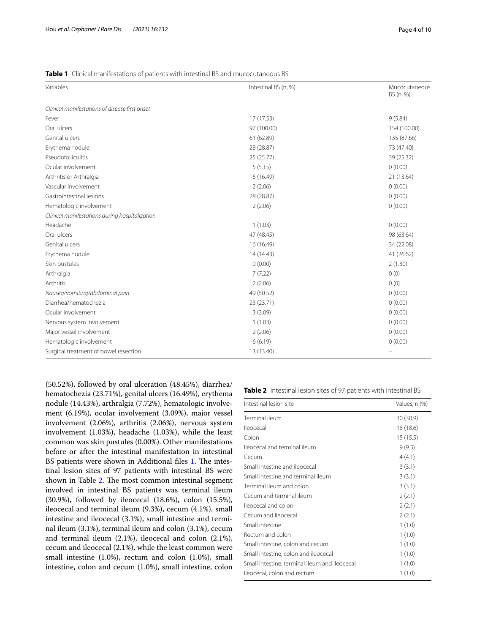### <span id="page-3-0"></span>**Table 1** Clinical manifestations of patients with intestinal BS and mucocutaneous BS

| Variables                                      | Intestinal BS (n, %) | Mucocutaneous<br>BS (n, %) |  |
|------------------------------------------------|----------------------|----------------------------|--|
| Clinical manifestations of disease first onset |                      |                            |  |
| Fever                                          | 17 (17.53)           | 9(5.84)                    |  |
| Oral ulcers                                    | 97 (100.00)          | 154 (100.00)               |  |
| Genital ulcers                                 | 61 (62.89)           | 135 (87.66)                |  |
| Erythema nodule                                | 28 (28.87)           | 73 (47.40)                 |  |
| Pseudofolliculitis                             | 25(25.77)            | 39 (25.32)                 |  |
| Ocular involvement                             | 5(5.15)              | 0(0.00)                    |  |
| Arthritis or Arthralgia                        | 16 (16.49)           | 21 (13.64)                 |  |
| Vascular involvement                           | 2(2.06)              | 0(0.00)                    |  |
| Gastrointestinal lesions                       | 28 (28.87)           | 0(0.00)                    |  |
| Hematologic involvement                        | 2(2.06)              | 0(0.00)                    |  |
| Clinical manifestations during hospitalization |                      |                            |  |
| Headache                                       | 1(1.03)              | 0(0.00)                    |  |
| Oral ulcers                                    | 47 (48.45)           | 98 (63.64)                 |  |
| Genital ulcers                                 | 16 (16.49)           | 34 (22.08)                 |  |
| Erythema nodule                                | 14 (14.43)           | 41 (26.62)                 |  |
| Skin pustules                                  | 0(0.00)              | 2(1.30)                    |  |
| Arthralgia                                     | 7(7.22)              | 0(0)                       |  |
| Arthritis                                      | 2(2.06)              | 0(0)                       |  |
| Nausea/vomiting/abdominal pain                 | 49 (50.52)           | 0(0.00)                    |  |
| Diarrhea/hematochezia                          | 23 (23.71)           | 0(0.00)                    |  |
| Ocular involvement                             | 3(3.09)              | 0(0.00)                    |  |
| Nervous system involvement                     | 1(1.03)              | 0(0.00)                    |  |
| Major vessel involvement                       | 2(2.06)              | 0(0.00)                    |  |
| Hematologic involvement                        | 6(6.19)              | 0(0.00)                    |  |
| Surgical treatment of bowel resection          | 13 (13.40)           |                            |  |

(50.52%), followed by oral ulceration (48.45%), diarrhea/ hematochezia (23.71%), genital ulcers (16.49%), erythema nodule (14.43%), arthralgia (7.72%), hematologic involvement (6.19%), ocular involvement (3.09%), major vessel involvement (2.06%), arthritis (2.06%), nervous system involvement (1.03%), headache (1.03%), while the least common was skin pustules (0.00%). Other manifestations before or after the intestinal manifestation in intestinal BS patients were shown in Additional files [1.](#page-8-13) The intestinal lesion sites of 97 patients with intestinal BS were shown in Table [2.](#page-3-1) The most common intestinal segment involved in intestinal BS patients was terminal ileum (30.9%), followed by ileocecal (18.6%), colon (15.5%), ileocecal and terminal ileum (9.3%), cecum (4.1%), small intestine and ileocecal (3.1%), small intestine and terminal ileum (3.1%), terminal ileum and colon (3.1%), cecum and terminal ileum (2.1%), ileocecal and colon (2.1%), cecum and ileocecal (2.1%), while the least common were small intestine (1.0%), rectum and colon (1.0%), small intestine, colon and cecum (1.0%), small intestine, colon

<span id="page-3-1"></span>

| Intestinal lesion site                        | Values, n (%) |
|-----------------------------------------------|---------------|
| Terminal ileum                                | 30 (30.9)     |
| lleocecal                                     | 18 (18.6)     |
| Colon                                         | 15 (15.5)     |
| Ileocecal and terminal ileum                  | 9(9.3)        |
| Cecum                                         | 4(4.1)        |
| Small intestine and ileocecal                 | 3(3.1)        |
| Small intestine and terminal ileum            | 3(3.1)        |
| Terminal ileum and colon                      | 3(3.1)        |
| Cecum and terminal ileum                      | 2(2.1)        |
| Ileocecal and colon                           | 2(2.1)        |
| Cecum and ileocecal                           | 2(2.1)        |
| Small intestine                               | 1(1.0)        |
| Rectum and colon                              | 1(1.0)        |
| Small intestine, colon and cecum              | 1(1.0)        |
| Small intestine, colon and ileocecal          | 1(1.0)        |
| Small intestine, terminal ileum and ileocecal | 1(1.0)        |
| lleocecal, colon and rectum                   | 1(1.0)        |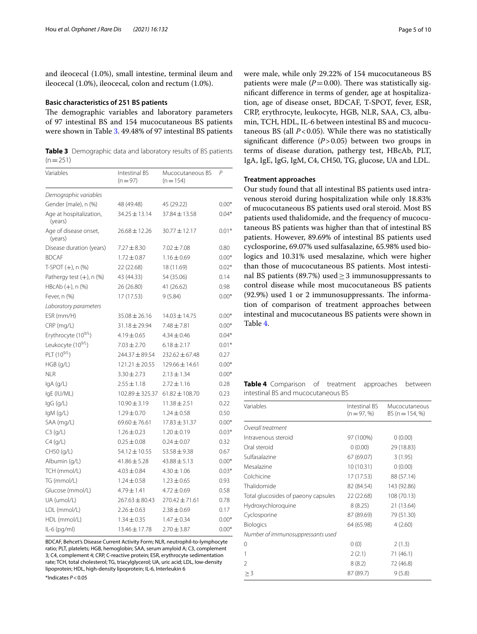and ileocecal (1.0%), small intestine, terminal ileum and ileocecal (1.0%), ileocecal, colon and rectum (1.0%).

#### **Basic characteristics of 251 BS patients**

The demographic variables and laboratory parameters of 97 intestinal BS and 154 mucocutaneous BS patients were shown in Table [3](#page-4-0). 49.48% of 97 intestinal BS patients

<span id="page-4-0"></span>**Table 3** Demographic data and laboratory results of BS patients  $(n=251)$ 

| Variables                          | Intestinal BS<br>$(n=97)$ | Mucocutaneous BS<br>$(n = 154)$ | P       |
|------------------------------------|---------------------------|---------------------------------|---------|
| Demographic variables              |                           |                                 |         |
| Gender (male), n (%)               | 48 (49.48)                | 45 (29.22)                      | $0.00*$ |
| Age at hospitalization,<br>(years) | $34.25 \pm 13.14$         | 37.84 ± 13.58                   | $0.04*$ |
| Age of disease onset,<br>(years)   | $26.68 \pm 12.26$         | $30.77 + 12.17$                 | $0.01*$ |
| Disease duration (years)           | $7.27 \pm 8.30$           | $7.02 \pm 7.08$                 | 0.80    |
| <b>BDCAF</b>                       | $1.72 \pm 0.87$           | $1.16 \pm 0.69$                 | $0.00*$ |
| $T-SPOT (+)$ , n $(%$              | 22 (22.68)                | 18 (11.69)                      | $0.02*$ |
| Pathergy test $(+)$ , n $(\%)$     | 43 (44.33)                | 54 (35.06)                      | 0.14    |
| HBcAb (+), n (%)                   | 26 (26.80)                | 41 (26.62)                      | 0.98    |
| Fever, n (%)                       | 17 (17.53)                | 9(5.84)                         | $0.00*$ |
| Laboratory parameters              |                           |                                 |         |
| ESR (mm/H)                         | $35.08 \pm 26.16$         | $14.03 \pm 14.75$               | $0.00*$ |
| CRP (mg/L)                         | $31.18 \pm 29.94$         | $7.48 \pm 7.81$                 | $0.00*$ |
| Erythrocyte (10 <sup>9/L</sup> )   | $4.19 \pm 0.65$           | $4.34 \pm 0.46$                 | $0.04*$ |
| Leukocyte (10 <sup>9/L</sup> )     | $7.03 \pm 2.70$           | $6.18 \pm 2.17$                 | $0.01*$ |
| PLT $(10^{9/L})$                   | 244.37±89.54              | $232.62 \pm 67.48$              | 0.27    |
| $HGB$ (g/L)                        | $121.21 \pm 20.55$        | $129.66 \pm 14.61$              | $0.00*$ |
| <b>NLR</b>                         | $3.30 \pm 2.73$           | $2.13 \pm 1.34$                 | $0.00*$ |
| IgA (g/L)                          | $2.55 \pm 1.18$           | $2.72 \pm 1.16$                 | 0.28    |
| IgE (IU/ML)                        | $102.89 \pm 325.37$       | $61.82 \pm 108.70$              | 0.23    |
| IgG (g/L)                          | $10.90 \pm 3.19$          | $11.38 \pm 2.51$                | 0.22    |
| $lgM$ (g/L)                        | $1.29 \pm 0.70$           | $1.24 \pm 0.58$                 | 0.50    |
| SAA (mg/L)                         | $69.60 \pm 76.61$         | $17.83 \pm 31.37$               | $0.00*$ |
| C3(g/L)                            | $1.26 + 0.23$             | $1.20 \pm 0.19$                 | $0.03*$ |
| $C4$ (g/L)                         | $0.25 \pm 0.08$           | $0.24 \pm 0.07$                 | 0.32    |
| CH50 (g/L)                         | 54.12±10.55               | $53.58 \pm 9.38$                | 0.67    |
| Albumin (g/L)                      | $41.86 \pm 5.28$          | $43.88 \pm 5.13$                | $0.00*$ |
| TCH (mmol/L)                       | $4.03 \pm 0.84$           | $4.30 \pm 1.06$                 | $0.03*$ |
| TG (mmol/L)                        | $1.24 \pm 0.58$           | $1.23 \pm 0.65$                 | 0.93    |
| Glucose (mmol/L)                   | $4.79 \pm 1.41$           | $4.72 \pm 0.69$                 | 0.58    |
| UA (umol/L)                        | $267.63 \pm 80.43$        | $270.42 \pm 71.61$              | 0.78    |
| LDL (mmol/L)                       | $2.26 \pm 0.63$           | $2.38 \pm 0.69$                 | 0.17    |
| HDL (mmol/L)                       | $1.34 \pm 0.35$           | $1.47 \pm 0.34$                 | $0.00*$ |
| IL-6 (pg/ml)                       | 13.46 ± 17.78             | $2.70 \pm 3.87$                 | $0.00*$ |

BDCAF, Behcet's Disease Current Activity Form; NLR, neutrophil-to-lymphocyte ratio; PLT, platelets; HGB, hemoglobin; SAA, serum amyloid A; C3, complement 3; C4, complement 4; CRP, C-reactive protein; ESR, erythrocyte sedimentation rate; TCH, total cholesterol; TG, triacylglycerol; UA, uric acid; LDL, low-density lipoprotein; HDL, high-density lipoprotein; IL-6, Interleukin 6 \*Indicates *P*<0.05

were male, while only 29.22% of 154 mucocutaneous BS patients were male  $(P=0.00)$ . There was statistically signifcant diference in terms of gender, age at hospitalization, age of disease onset, BDCAF, T-SPOT, fever, ESR, CRP, erythrocyte, leukocyte, HGB, NLR, SAA, C3, albumin, TCH, HDL, IL-6 between intestinal BS and mucocutaneous BS (all *P*<0.05). While there was no statistically signifcant diference (*P*>0.05) between two groups in terms of disease duration, pathergy test, HBcAb, PLT, IgA, IgE, IgG, IgM, C4, CH50, TG, glucose, UA and LDL.

### **Treatment approaches**

Our study found that all intestinal BS patients used intravenous steroid during hospitalization while only 18.83% of mucocutaneous BS patients used oral steroid. Most BS patients used thalidomide, and the frequency of mucocutaneous BS patients was higher than that of intestinal BS patients. However, 89.69% of intestinal BS patients used cyclosporine, 69.07% used sulfasalazine, 65.98% used biologics and 10.31% used mesalazine, which were higher than those of mucocutaneous BS patients. Most intestinal BS patients (89.7%) used  $\geq$  3 immunosuppressants to control disease while most mucocutaneous BS patients  $(92.9%)$  used 1 or 2 immunosuppressants. The information of comparison of treatment approaches between intestinal and mucocutaneous BS patients were shown in Table [4](#page-4-1).

<span id="page-4-1"></span>**Table 4** Comparison of treatment approaches between intestinal BS and mucocutaneous BS

| Variables                           | Intestinal BS<br>$(n = 97, %)$ | Mucocutaneous<br>BS ( $n = 154, \%$ ) |
|-------------------------------------|--------------------------------|---------------------------------------|
| Overall treatment                   |                                |                                       |
| Intravenous steroid                 | 97 (100%)                      | 0(0.00)                               |
| Oral steroid                        | 0(0.00)                        | 29 (18.83)                            |
| Sulfasalazine                       | 67 (69.07)                     | 3(1.95)                               |
| Mesalazine                          | 10 (10.31)                     | 0(0.00)                               |
| Colchicine                          | 17 (17.53)                     | 88 (57.14)                            |
| Thalidomide                         | 82 (84.54)                     | 143 (92.86)                           |
| Total glucosides of paeony capsules | 22 (22.68)                     | 108 (70.13)                           |
| Hydroxychloroquine                  | 8(8.25)                        | 21 (13.64)                            |
| Cyclosporine                        | 87 (89.69)                     | 79 (51.30)                            |
| <b>Biologics</b>                    | 64 (65.98)                     | 4(2.60)                               |
| Number of immunosuppressants used   |                                |                                       |
| 0                                   | 0(0)                           | 2(1.3)                                |
| 1                                   | 2(2.1)                         | 71 (46.1)                             |
| $\mathfrak{D}$                      | 8(8.2)                         | 72 (46.8)                             |
| $\geq$ 3                            | 87 (89.7)                      | 9(5.8)                                |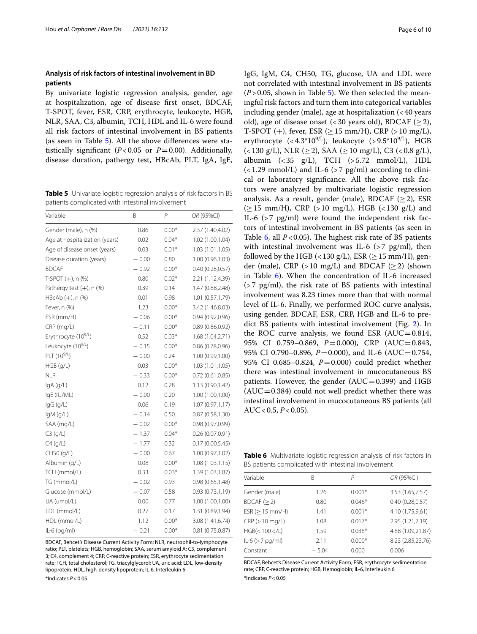### **Analysis of risk factors of intestinal involvement in BD patients**

By univariate logistic regression analysis, gender, age at hospitalization, age of disease frst onset, BDCAF, T-SPOT, fever, ESR, CRP, erythrocyte, leukocyte, HGB, NLR, SAA, C3, albumin, TCH, HDL and IL-6 were found all risk factors of intestinal involvement in BS patients (as seen in Table [5\)](#page-5-0). All the above diferences were statistically significant ( $P < 0.05$  or  $P = 0.00$ ). Additionally, disease duration, pathergy test, HBcAb, PLT, IgA, IgE,

<span id="page-5-0"></span>**Table 5** Univariate logistic regression analysis of risk factors in BS patients complicated with intestinal involvement

| Variable                         | B       | P       | OR (95%CI)       |
|----------------------------------|---------|---------|------------------|
| Gender (male), n (%)             | 0.86    | $0.00*$ | 2.37 (1.40,4.02) |
| Age at hospitalization (years)   | 0.02    | $0.04*$ | 1.02 (1.00,1.04) |
| Age of disease onset (years)     | 0.03    | $0.01*$ | 1.03(1.01, 1.05) |
| Disease duration (years)         | $-0.00$ | 0.80    | 1.00 (0.96,1.03) |
| <b>BDCAF</b>                     | $-0.92$ | $0.00*$ | 0.40(0.28, 0.57) |
| $T-SPOT (+)$ , n $(% )$          | 0.80    | $0.02*$ | 2.21 (1.12,4.39) |
| Pathergy test $(+)$ , n $(\%)$   | 0.39    | 0.14    | 1.47 (0.88,2.48) |
| HBcAb (+), n (%)                 | 0.01    | 0.98    | 1.01(0.57, 1.79) |
| Fever, n (%)                     | 1.23    | $0.00*$ | 3.42 (1.46,8.03) |
| ESR (mm/H)                       | $-0.06$ | $0.00*$ | 0.94 (0.92,0.96) |
| $CRP$ (mg/L)                     | $-0.11$ | $0.00*$ | 0.89(0.86, 0.92) |
| Erythrocyte (10 <sup>9/L</sup> ) | 0.52    | $0.03*$ | 1.68 (1.04,2.71) |
| Leukocyte (10 <sup>9/L</sup> )   | $-0.15$ | $0.00*$ | 0.86(0.78, 0.96) |
| $PLT(10^{9/L})$                  | $-0.00$ | 0.24    | 1.00 (0.99,1.00) |
| $HGB$ (g/L)                      | 0.03    | $0.00*$ | 1.03 (1.01,1.05) |
| <b>NLR</b>                       | $-0.33$ | $0.00*$ | 0.72(0.61, 0.85) |
| lgA(q/L)                         | 0.12    | 0.28    | 1.13 (0.90,1.42) |
| IqE (IU/ML)                      | $-0.00$ | 0.20    | 1.00(1.00, 1.00) |
| lgG (g/L)                        | 0.06    | 0.19    | 1.07(0.97,1.17)  |
| IgM (g/L)                        | $-0.14$ | 0.50    | 0.87(0.58, 1.30) |
| SAA (mg/L)                       | $-0.02$ | $0.00*$ | 0.98(0.97, 0.99) |
| C3(q/L)                          | $-1.37$ | $0.04*$ | 0.26(0.07,0.91)  |
| $C4$ (g/L)                       | $-1.77$ | 0.32    | 0.17(0.00, 5.45) |
| CH50 (g/L)                       | $-0.00$ | 0.67    | 1.00 (0.97,1.02) |
| Albumin (g/L)                    | 0.08    | $0.00*$ | 1.08(1.03, 1.15) |
| TCH (mmol/L)                     | 0.33    | $0.03*$ | 1.39 (1.03,1.87) |
| TG (mmol/L)                      | $-0.02$ | 0.93    | 0.98(0.65, 1.48) |
| Glucose (mmol/L)                 | $-0.07$ | 0.58    | 0.93(0.73,1.19)  |
| UA (umol/L)                      | 0.00    | 0.77    | 1.00(1.00, 1.00) |
| LDL (mmol/L)                     | 0.27    | 0.17    | 1.31 (0.89,1.94) |
| HDL (mmol/L)                     | 1.12    | $0.00*$ | 3.08 (1.41,6.74) |
| IL-6 (pg/ml)                     | $-0.21$ | $0.00*$ | 0.81(0.75, 0.87) |

BDCAF, Behcet's Disease Current Activity Form; NLR, neutrophil-to-lymphocyte ratio; PLT, platelets; HGB, hemoglobin; SAA, serum amyloid A; C3, complement 3; C4, complement 4; CRP, C-reactive protein; ESR, erythrocyte sedimentation rate; TCH, total cholesterol; TG, triacylglycerol; UA, uric acid; LDL, low-density lipoprotein; HDL, high-density lipoprotein; IL-6, Interleukin 6

\*Indicates *P*<0.05

IgG, IgM, C4, CH50, TG, glucose, UA and LDL were not correlated with intestinal involvement in BS patients  $(P>0.05$  $(P>0.05$ , shown in Table 5). We then selected the meaningful risk factors and turn them into categorical variables including gender (male), age at hospitalization  $\left($  < 40 years old), age of disease onset (<30 years old), BDCAF ( $\geq$ 2), T-SPOT (+), fever, ESR ( $\geq$  15 mm/H), CRP (> 10 mg/L), erythrocyte  $( $4.3*10^{9/L}$ ), leukocyte ( $> 9.5*10^{9/L}$ ), HGB$  $(<130 \text{ g/L})$ , NLR  $(\geq 2)$ , SAA  $(\geq 10 \text{ mg/L})$ , C3  $(<0.8 \text{ g/L})$ , albumin (<35 g/L), TCH (>5.72 mmol/L), HDL  $\left($  < 1.29 mmol/L) and IL-6 (> 7 pg/ml) according to clinical or laboratory signifcance. All the above risk factors were analyzed by multivariate logistic regression analysis. As a result, gender (male), BDCAF ( $\geq$ 2), ESR  $(\geq 15 \text{ mm/H})$ , CRP (>10 mg/L), HGB (<130 g/L) and IL-6 (>7 pg/ml) were found the independent risk factors of intestinal involvement in BS patients (as seen in Table  $6$ , all  $P < 0.05$ ). The highest risk rate of BS patients with intestinal involvement was IL-6  $(>7 \text{ pg/ml})$ , then followed by the HGB (<130 g/L), ESR ( $\geq$  15 mm/H), gender (male), CRP (>10 mg/L) and BDCAF ( $\geq$ 2) (shown in Table [6](#page-5-1)). When the concentration of IL-6 increased  $(>7 \text{ pg/ml})$ , the risk rate of BS patients with intestinal involvement was 8.23 times more than that with normal level of IL-6. Finally, we performed ROC curve analysis, using gender, BDCAF, ESR, CRP, HGB and IL-6 to predict BS patients with intestinal involvement (Fig. [2\)](#page-6-0). In the ROC curve analysis, we found ESR  $(AUC=0.814,$ 95% CI 0.759–0.869, *P*=0.000), CRP (AUC=0.843, 95% CI 0.790–0.896, *P*=0.000), and IL-6 (AUC=0.754, 95% CI 0.685–0.824, *P*=0.000) could predict whether there was intestinal involvement in mucocutaneous BS patients. However, the gender  $(AUC=0.399)$  and HGB  $(AUC=0.384)$  could not well predict whether there was intestinal involvement in mucocutaneous BS patients (all AUC<0.5, *P*<0.05).

<span id="page-5-1"></span>**Table 6** Multivariate logistic regression analysis of risk factors in BS patients complicated with intestinal involvement

| Variable           | R       | Р        | OR (95%CI)        |
|--------------------|---------|----------|-------------------|
| Gender (male)      | 1.26    | $0.001*$ | 3.53 (1.65,7.57)  |
| BDCAF (> 2)        | 0.80    | $0.046*$ | 0.40(0.28, 0.57)  |
| $ESR (> 15$ mm/H)  | 1.41    | $0.001*$ | 4.10 (1.75,9.61)  |
| CRP (> 10 mg/L)    | 1.08    | $0.017*$ | 2.95 (1.21,7.19)  |
| HGB(< 100 q/L)     | 1.59    | $0.038*$ | 4.88 (1.09,21.87) |
| $ L-6 (> 7 pq/ml)$ | 2.11    | $0.000*$ | 8.23 (2.85,23.76) |
| Constant           | $-5.04$ | 0.000    | 0.006             |
|                    |         |          |                   |

BDCAF, Behcet's Disease Current Activity Form; ESR, erythrocyte sedimentation rate; CRP, C-reactive protein; HGB, Hemoglobin; IL-6, Interleukin 6 \*Indicates *P*<0.05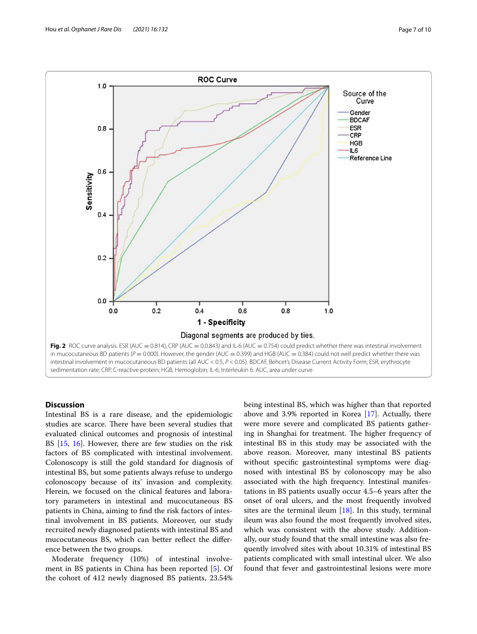

## <span id="page-6-0"></span>**Discussion**

Intestinal BS is a rare disease, and the epidemiologic studies are scarce. There have been several studies that evaluated clinical outcomes and prognosis of intestinal BS [[15,](#page-8-14) [16](#page-8-15)]. However, there are few studies on the risk factors of BS complicated with intestinal involvement. Colonoscopy is still the gold standard for diagnosis of intestinal BS, but some patients always refuse to undergo colonoscopy because of its' invasion and complexity. Herein, we focused on the clinical features and laboratory parameters in intestinal and mucocutaneous BS patients in China, aiming to fnd the risk factors of intestinal involvement in BS patients. Moreover, our study recruited newly diagnosed patients with intestinal BS and mucocutaneous BS, which can better refect the diference between the two groups.

Moderate frequency (10%) of intestinal involvement in BS patients in China has been reported [\[5](#page-8-4)]. Of the cohort of 412 newly diagnosed BS patients, 23.54% being intestinal BS, which was higher than that reported above and 3.9% reported in Korea [\[17](#page-8-16)]. Actually, there were more severe and complicated BS patients gathering in Shanghai for treatment. The higher frequency of intestinal BS in this study may be associated with the above reason. Moreover, many intestinal BS patients without specifc gastrointestinal symptoms were diagnosed with intestinal BS by colonoscopy may be also associated with the high frequency. Intestinal manifestations in BS patients usually occur 4.5–6 years after the onset of oral ulcers, and the most frequently involved sites are the terminal ileum  $[18]$  $[18]$ . In this study, terminal ileum was also found the most frequently involved sites, which was consistent with the above study. Additionally, our study found that the small intestine was also frequently involved sites with about 10.31% of intestinal BS patients complicated with small intestinal ulcer. We also found that fever and gastrointestinal lesions were more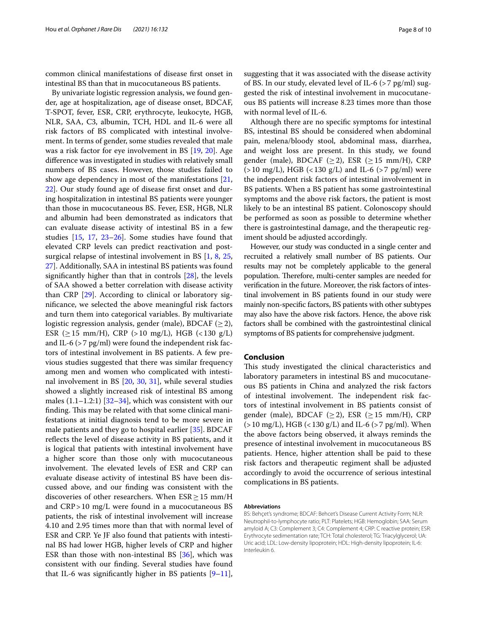common clinical manifestations of disease frst onset in intestinal BS than that in mucocutaneous BS patients.

By univariate logistic regression analysis, we found gender, age at hospitalization, age of disease onset, BDCAF, T-SPOT, fever, ESR, CRP, erythrocyte, leukocyte, HGB, NLR, SAA, C3, albumin, TCH, HDL and IL-6 were all risk factors of BS complicated with intestinal involvement. In terms of gender, some studies revealed that male was a risk factor for eye involvement in BS [\[19,](#page-8-18) [20](#page-8-19)]. Age diference was investigated in studies with relatively small numbers of BS cases. However, those studies failed to show age dependency in most of the manifestations [\[21](#page-8-20), [22\]](#page-8-21). Our study found age of disease frst onset and during hospitalization in intestinal BS patients were younger than those in mucocutaneous BS. Fever, ESR, HGB, NLR and albumin had been demonstrated as indicators that can evaluate disease activity of intestinal BS in a few studies [[15,](#page-8-14) [17](#page-8-16), [23](#page-8-22)–[26\]](#page-8-23). Some studies have found that elevated CRP levels can predict reactivation and postsurgical relapse of intestinal involvement in BS [[1,](#page-8-0) [8](#page-8-7), [25](#page-8-24), [27\]](#page-8-25). Additionally, SAA in intestinal BS patients was found signifcantly higher than that in controls [[28\]](#page-8-26), the levels of SAA showed a better correlation with disease activity than CRP [\[29\]](#page-8-27). According to clinical or laboratory signifcance, we selected the above meaningful risk factors and turn them into categorical variables. By multivariate logistic regression analysis, gender (male), BDCAF ( $\geq$ 2), ESR ( $\geq$  15 mm/H), CRP ( $>$  10 mg/L), HGB ( $<$  130 g/L) and IL-6 ( $>$  7 pg/ml) were found the independent risk factors of intestinal involvement in BS patients. A few previous studies suggested that there was similar frequency among men and women who complicated with intestinal involvement in BS [\[20](#page-8-19), [30,](#page-8-28) [31](#page-8-29)], while several studies showed a slightly increased risk of intestinal BS among males  $(1.1-1.2:1)$   $[32-34]$  $[32-34]$ , which was consistent with our finding. This may be related with that some clinical manifestations at initial diagnosis tend to be more severe in male patients and they go to hospital earlier [\[35](#page-9-3)]. BDCAF refects the level of disease activity in BS patients, and it is logical that patients with intestinal involvement have a higher score than those only with mucocutaneous involvement. The elevated levels of ESR and CRP can evaluate disease activity of intestinal BS have been discussed above, and our fnding was consistent with the discoveries of other researchers. When  $ESR \ge 15$  mm/H and CRP>10 mg/L were found in a mucocutaneous BS patients, the risk of intestinal involvement will increase 4.10 and 2.95 times more than that with normal level of ESR and CRP. Ye JF also found that patients with intestinal BS had lower HGB, higher levels of CRP and higher ESR than those with non-intestinal BS [\[36](#page-9-4)], which was consistent with our fnding. Several studies have found that IL-6 was significantly higher in BS patients  $[9-11]$  $[9-11]$ , suggesting that it was associated with the disease activity of BS. In our study, elevated level of IL-6 (>7 pg/ml) suggested the risk of intestinal involvement in mucocutaneous BS patients will increase 8.23 times more than those with normal level of IL-6.

Although there are no specifc symptoms for intestinal BS, intestinal BS should be considered when abdominal pain, melena/bloody stool, abdominal mass, diarrhea, and weight loss are present. In this study, we found gender (male), BDCAF ( $\geq$ 2), ESR ( $\geq$ 15 mm/H), CRP  $(>10 \text{ mg/L})$ , HGB  $(<130 \text{ g/L})$  and IL-6  $(>7 \text{ pg/ml})$  were the independent risk factors of intestinal involvement in BS patients. When a BS patient has some gastrointestinal symptoms and the above risk factors, the patient is most likely to be an intestinal BS patient. Colonoscopy should be performed as soon as possible to determine whether there is gastrointestinal damage, and the therapeutic regiment should be adjusted accordingly.

However, our study was conducted in a single center and recruited a relatively small number of BS patients. Our results may not be completely applicable to the general population. Therefore, multi-center samples are needed for verifcation in the future. Moreover, the risk factors of intestinal involvement in BS patients found in our study were mainly non-specifc factors, BS patients with other subtypes may also have the above risk factors. Hence, the above risk factors shall be combined with the gastrointestinal clinical symptoms of BS patients for comprehensive judgment.

### **Conclusion**

This study investigated the clinical characteristics and laboratory parameters in intestinal BS and mucocutaneous BS patients in China and analyzed the risk factors of intestinal involvement. The independent risk factors of intestinal involvement in BS patients consist of gender (male), BDCAF ( $\geq$ 2), ESR ( $\geq$  15 mm/H), CRP  $(>10 \text{ mg/L})$ , HGB  $(<130 \text{ g/L})$  and IL-6  $(>7 \text{ pg/ml})$ . When the above factors being observed, it always reminds the presence of intestinal involvement in mucocutaneous BS patients. Hence, higher attention shall be paid to these risk factors and therapeutic regiment shall be adjusted accordingly to avoid the occurrence of serious intestinal complications in BS patients.

#### **Abbreviations**

BS: Behçet's syndrome; BDCAF: Behcet's Disease Current Activity Form; NLR: Neutrophil-to-lymphocyte ratio; PLT: Platelets; HGB: Hemoglobin; SAA: Serum amyloid A; C3: Complement 3; C4: Complement 4; CRP: C reactive protein; ESR: Erythrocyte sedimentation rate; TCH: Total cholesterol; TG: Triacylglycerol; UA: Uric acid; LDL: Low-density lipoprotein; HDL: High-density lipoprotein; IL-6: Interleukin 6.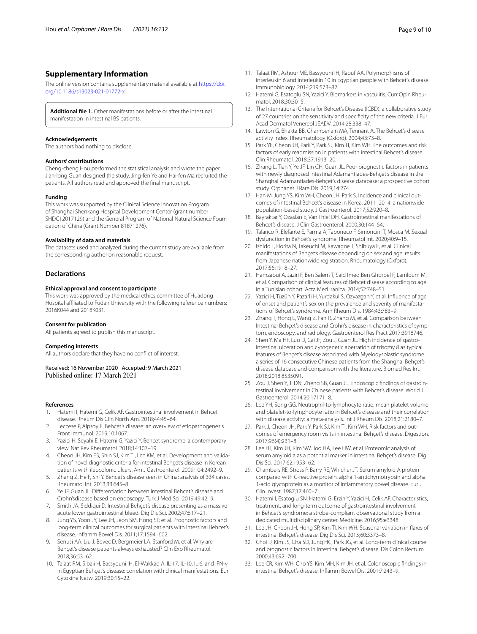### **Supplementary Information**

The online version contains supplementary material available at [https://doi.](https://doi.org/10.1186/s13023-021-01772-x) [org/10.1186/s13023-021-01772-x.](https://doi.org/10.1186/s13023-021-01772-x)

<span id="page-8-13"></span>**Additional fle 1.** Other manifestations before or after the intestinal manifestation in intestinal BS patients.

#### **Acknowledgements**

The authors had nothing to disclose.

#### **Authors' contributions**

Cheng-cheng Hou performed the statistical analysis and wrote the paper. Jian-long Guan designed the study. Jing-fen Ye and Hai-fen Ma recruited the patients. All authors read and approved the fnal manuscript.

#### **Funding**

This work was supported by the Clinical Science Innovation Program of Shanghai Shenkang Hospital Development Center (grant number SHDC12017129) and the General Program of National Natural Science Foundation of China (Grant Number 81871276).

#### **Availability of data and materials**

The datasets used and analyzed during the current study are available from the corresponding author on reasonable request.

### **Declarations**

#### **Ethical approval and consent to participate**

This work was approved by the medical ethics committee of Huadong Hospital affiliated to Fudan University with the following reference numbers: 2016K044 and 2018K031.

#### **Consent for publication**

All patients agreed to publish this manuscript.

#### **Competing interests**

All authors declare that they have no confict of interest.

Received: 16 November 2020 Accepted: 9 March 2021

#### **References**

- <span id="page-8-0"></span>1. Hatemi I, Hatemi G, Celik AF. Gastrointestinal involvement in Behcet disease. Rheum Dis Clin North Am. 2018;44:45–64.
- <span id="page-8-1"></span>2. Leccese P, Alpsoy E. Behcet's disease: an overview of etiopathogenesis. Front Immunol. 2019;10:1067.
- <span id="page-8-2"></span>3. Yazici H, Seyahi E, Hatemi G, Yazici Y. Behcet syndrome: a contemporary view. Nat Rev Rheumatol. 2018;14:107–19.
- <span id="page-8-3"></span>4. Cheon JH, Kim ES, Shin SJ, Kim TI, Lee KM, et al. Development and validation of novel diagnostic criteria for intestinal Behçet's disease in Korean patients with ileocolonic ulcers. Am J Gastroenterol. 2009;104:2492–9.
- <span id="page-8-4"></span>5. Zhang Z, He F, Shi Y. Behcet's disease seen in China: analysis of 334 cases. Rheumatol Int. 2013;33:645–8.
- <span id="page-8-5"></span>6. Ye JF, Guan JL. Diferentiation between intestinal Behcet's disease and Crohn'sdisease based on endoscopy. Turk J Med Sci. 2019;49:42–9.
- <span id="page-8-6"></span>7. Smith JA, Siddiqui D. Intestinal Behçet's disease presenting as a massive acute lower gastrointestinal bleed. Dig Dis Sci. 2002;47:517–21.
- <span id="page-8-7"></span>8. Jung YS, Yoon JY, Lee JH, Jeon SM, Hong SP, et al. Prognostic factors and long-term clinical outcomes for surgical patients with intestinal Behcet's disease. Infamm Bowel Dis. 2011;17:1594–602.
- <span id="page-8-8"></span>9. Senusi AA, Liu J, Bevec D, Bergmeier LA, Stanford M, et al. Why are Behçet's disease patients always exhausted? Clin Exp Rheumatol. 2018;36:53–62.
- 10. Talaat RM, Sibaii H, Bassyouni IH, El-Wakkad A. IL-17, IL-10, IL-6, and IFN-γ in Egyptian Behçet's disease: correlation with clinical manifestations. Eur Cytokine Netw. 2019;30:15–22.
- <span id="page-8-9"></span>11. Talaat RM, Ashour ME, Bassyouni IH, Raouf AA. Polymorphisms of interleukin 6 and interleukin 10 in Egyptian people with Behcet's disease. Immunobiology. 2014;219:573–82.
- <span id="page-8-10"></span>12. Hatemi G, Esatoglu SN, Yazici Y. Biomarkers in vasculitis. Curr Opin Rheumatol. 2018;30:30–5.
- <span id="page-8-11"></span>13. The International Criteria for Behcet's Disease (ICBD): a collaborative study of 27 countries on the sensitivity and specifcity of the new criteria. J Eur Acad Dermatol Venereol JEADV. 2014;28:338–47.
- <span id="page-8-12"></span>14. Lawton G, Bhakta BB, Chamberlain MA, Tennant A. The Behcet's disease activity index. Rheumatology (Oxford). 2004;43:73–8.
- <span id="page-8-14"></span>15. Park YE, Cheon JH, Park Y, Park SJ, Kim TI, Kim WH. The outcomes and risk factors of early readmission in patients with intestinal Behcet's disease. Clin Rheumatol. 2018;37:1913–20.
- <span id="page-8-15"></span>16. Zhang L, Tian Y, Ye JF, Lin CH, Guan JL. Poor prognostic factors in patients with newly diagnosed intestinal Adamantiades-Behçet's disease in the Shanghai Adamantiades-Behçet's disease database: a prospective cohort study. Orphanet J Rare Dis. 2019;14:274.
- <span id="page-8-16"></span>17. Han M, Jung YS, Kim WH, Cheon JH, Park S. Incidence and clinical outcomes of intestinal Behcet's disease in Korea, 2011–2014: a nationwide population-based study. J Gastroenterol. 2017;52:920–8.
- <span id="page-8-17"></span>18. Bayraktar Y, Ozaslan E, Van Thiel DH. Gastrointestinal manifestations of Behcet's disease. J Clin Gastroenterol. 2000;30:144–54.
- <span id="page-8-18"></span>19. Talarico R, Elefante E, Parma A, Taponeco F, Simoncini T, Mosca M. Sexual dysfunction in Behcet's syndrome. Rheumatol Int. 2020;40:9–15.
- <span id="page-8-19"></span>20. Ishido T, Horita N, Takeuchi M, Kawagoe T, Shibuya E, et al. Clinical manifestations of Behçet's disease depending on sex and age: results from Japanese nationwide registration. Rheumatology (Oxford). 2017;56:1918–27.
- <span id="page-8-20"></span>21. Hamzaoui A, Jaziri F, Ben Salem T, Said Imed Ben Ghorbel F, Lamloum M, et al. Comparison of clinical features of Behcet disease according to age in a Tunisian cohort. Acta Med Iranica. 2014;52:748–51.
- <span id="page-8-21"></span>22. Yazici H, Tüzün Y, Pazarli H, Yurdakul S, Ozyazgan Y, et al. Infuence of age of onset and patient's sex on the prevalence and severity of manifestations of Behçet's syndrome. Ann Rheum Dis. 1984;43:783–9.
- <span id="page-8-22"></span>23. Zhang T, Hong L, Wang Z, Fan R, Zhang M, et al. Comparison between Intestinal Behcet's disease and Crohn's disease in characteristics of symptom, endoscopy, and radiology. Gastroenterol Res Pract 2017:3918746.
- 24. Shen Y, Ma HF, Luo D, Cai JF, Zou J, Guan JL. High incidence of gastrointestinal ulceration and cytogenetic aberration of trisomy 8 as typical features of Behçet's disease associated with Myelodysplastic syndrome: a series of 16 consecutive Chinese patients from the Shanghai Behçet's disease database and comparison with the literature. Biomed Res Int. 2018;2018:8535091.
- <span id="page-8-24"></span>25. Zou J, Shen Y, Ji DN, Zheng SB, Guan JL. Endoscopic findings of gastrointestinal involvement in Chinese patients with Behcet's disease. World J Gastroenterol. 2014;20:17171–8.
- <span id="page-8-23"></span>26. Lee YH, Song GG. Neutrophil-to-lymphocyte ratio, mean platelet volume and platelet-to-lymphocyte ratio in Behcet's disease and their correlation with disease activity: a meta-analysis. Int J Rheum Dis. 2018;21:2180–7.
- <span id="page-8-25"></span>27. Park J, Cheon JH, Park Y, Park SJ, Kim TI, Kim WH. Risk factors and outcomes of emergency room visits in intestinal Behçet's disease. Digestion. 2017;96(4):231–8.
- <span id="page-8-26"></span>28. Lee HJ, Kim JH, Kim SW, Joo HA, Lee HW, et al. Proteomic analysis of serum amyloid a as a potential marker in intestinal Behçet's disease. Dig Dis Sci. 2017;62:1953–62.
- <span id="page-8-27"></span>29. Chambers RE, Stross P, Barry RE, Whicher JT. Serum amyloid A protein compared with C-reactive protein, alpha 1-antichymotrypsin and alpha 1-acid glycoprotein as a monitor of infammatory bowel disease. Eur J Clin Invest. 1987;17:460–7.
- <span id="page-8-28"></span>30. Hatemi I, Esatoglu SN, Hatemi G, Erzin Y, Yazici H, Celik AF. Characteristics, treatment, and long-term outcome of gastrointestinal involvement in Behcet's syndrome: a strobe-compliant observational study from a dedicated multidisciplinary center. Medicine. 2016;95:e3348.
- <span id="page-8-29"></span>31. Lee JH, Cheon JH, Hong SP, Kim TI, Kim WH. Seasonal variation in fares of intestinal Behçet's disease. Dig Dis Sci. 2015;60:3373–8.
- <span id="page-8-30"></span>32. Choi IJ, Kim JS, Cha SD, Jung HC, Park JG, et al. Long-term clinical course and prognostic factors in intestinal Behçet's disease. Dis Colon Rectum. 2000;43:692–700.
- 33. Lee CR, Kim WH, Cho YS, Kim MH, Kim JH, et al. Colonoscopic fndings in intestinal Behçet's disease. Infamm Bowel Dis. 2001;7:243–9.